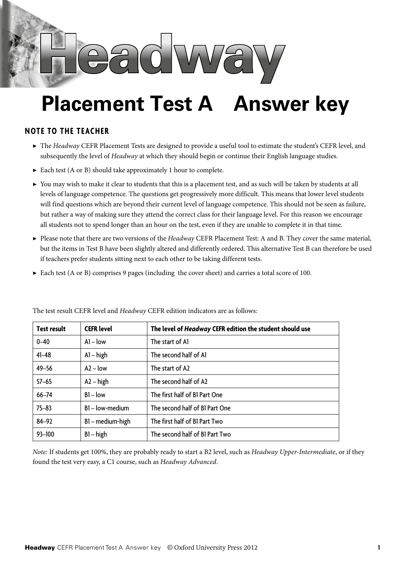

## **Placement Test A Answer key**

## **Note to the teacher**

- ▶ The *Headway* CEFR Placement Tests are designed to provide a useful tool to estimate the student's CEFR level, and subsequently the level of *Headway* at which they should begin or continue their English language studies.
- $\blacktriangleright$  Each test (A or B) should take approximately 1 hour to complete.
- ▶ You may wish to make it clear to students that this is a placement test, and as such will be taken by students at all levels of language competence. The questions get progressively more difficult. This means that lower level students will find questions which are beyond their current level of language competence. This should not be seen as failure, but rather a way of making sure they attend the correct class for their language level. For this reason we encourage all students not to spend longer than an hour on the test, even if they are unable to complete it in that time.
- ▶ Please note that there are two versions of the *Headway* CEFR Placement Test: A and B. They cover the same material, but the items in Test B have been slightly altered and differently ordered. This alternative Test B can therefore be used if teachers prefer students sitting next to each other to be taking different tests.
- ▶ Each test (A or B) comprises 9 pages (including the cover sheet) and carries a total score of 100.

| <b>Test result</b> | <b>CEFR level</b> | The level of <i>Headway</i> CEFR edition the student should use |  |  |  |  |
|--------------------|-------------------|-----------------------------------------------------------------|--|--|--|--|
| $0 - 40$           | $Al - low$        | The start of Al                                                 |  |  |  |  |
| $41 - 48$          | $Al - high$       | The second half of Al                                           |  |  |  |  |
| $49 - 56$          | $A2 - low$        | The start of A2                                                 |  |  |  |  |
| $57 - 65$          | $A2 - high$       | The second half of A2                                           |  |  |  |  |
| $66 - 74$          | $BI - low$        | The first half of B1 Part One                                   |  |  |  |  |
| $75 - 83$          | B1-low-medium     | The second half of B1 Part One                                  |  |  |  |  |
| $84 - 92$          | B1-medium-high    | The first half of B1 Part Two                                   |  |  |  |  |
| 93-100             | $B1 - high$       | The second half of B1 Part Two                                  |  |  |  |  |

The test result CEFR level and *Headway* CEFR edition indicators are as follows:

*Note:* If students get 100%, they are probably ready to start a B2 level, such as *Headway Upper-Intermediate*, or if they found the test very easy, a C1 course, such as *Headway Advanced*.